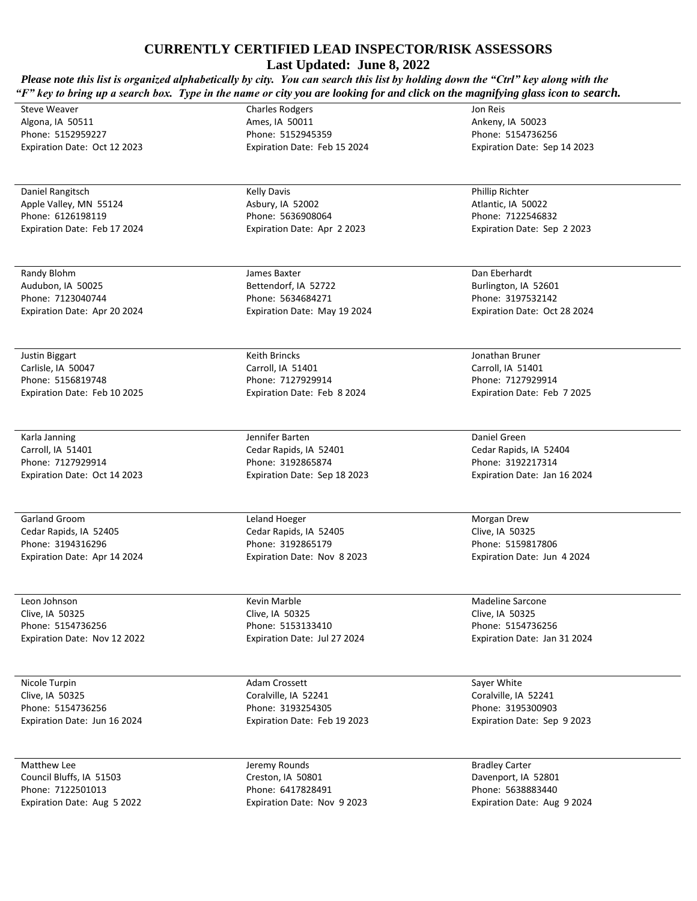**Last Updated: June 8, 2022**

| Please note this list is organized alphabetically by city. You can search this list by holding down the "Ctrl" key along with the |                              |                              |
|-----------------------------------------------------------------------------------------------------------------------------------|------------------------------|------------------------------|
| "F" key to bring up a search box. Type in the name or city you are looking for and click on the magnifying glass icon to search.  |                              |                              |
| Steve Weaver                                                                                                                      | <b>Charles Rodgers</b>       | Jon Reis                     |
| Algona, IA 50511                                                                                                                  | Ames, IA 50011               | Ankeny, IA 50023             |
| Phone: 5152959227                                                                                                                 | Phone: 5152945359            | Phone: 5154736256            |
| Expiration Date: Oct 12 2023                                                                                                      | Expiration Date: Feb 15 2024 | Expiration Date: Sep 14 2023 |

Daniel Rangitsch Apple Valley, MN 55124 Phone: 6126198119 Expiration Date: Feb 17 2024

Randy Blohm Audubon, IA 50025 Phone: 7123040744 Expiration Date: Apr 20 2024

Justin Biggart Carlisle, IA 50047 Phone: 5156819748 Expiration Date: Feb 10 2025

Karla Janning Carroll, IA 51401 Phone: 7127929914 Expiration Date: Oct 14 2023

Garland Groom Cedar Rapids, IA 52405 Phone: 3194316296 Expiration Date: Apr 14 2024

Leon Johnson Clive, IA 50325 Phone: 5154736256 Expiration Date: Nov 12 2022

Nicole Turpin Clive, IA 50325 Phone: 5154736256 Expiration Date: Jun 16 2024

Matthew Lee Council Bluffs, IA 51503 Phone: 7122501013 Expiration Date: Aug 5 2022 Expiration Date: Feb 15 2024

Kelly Davis Asbury, IA 52002 Phone: 5636908064 Expiration Date: Apr 2 2023

James Baxter Bettendorf, IA 52722 Phone: 5634684271 Expiration Date: May 19 2024

Keith Brincks Carroll, IA 51401 Phone: 7127929914 Expiration Date: Feb 8 2024

Jennifer Barten Cedar Rapids, IA 52401 Phone: 3192865874 Expiration Date: Sep 18 2023

Leland Hoeger Cedar Rapids, IA 52405 Phone: 3192865179 Expiration Date: Nov 8 2023

Kevin Marble Clive, IA 50325 Phone: 5153133410 Expiration Date: Jul 27 2024

Adam Crossett Coralville, IA 52241 Phone: 3193254305 Expiration Date: Feb 19 2023

Jeremy Rounds Creston, IA 50801 Phone: 6417828491 Expiration Date: Nov 9 2023 Expiration Date: Sep 14 2023

Phillip Richter Atlantic, IA 50022 Phone: 7122546832 Expiration Date: Sep 2 2023

Dan Eberhardt Burlington, IA 52601 Phone: 3197532142 Expiration Date: Oct 28 2024

Jonathan Bruner Carroll, IA 51401 Phone: 7127929914 Expiration Date: Feb 7 2025

Daniel Green Cedar Rapids, IA 52404 Phone: 3192217314 Expiration Date: Jan 16 2024

Morgan Drew Clive, IA 50325 Phone: 5159817806 Expiration Date: Jun 4 2024

Madeline Sarcone Clive, IA 50325 Phone: 5154736256 Expiration Date: Jan 31 2024

Sayer White Coralville, IA 52241 Phone: 3195300903 Expiration Date: Sep 9 2023

Bradley Carter Davenport, IA 52801 Phone: 5638883440 Expiration Date: Aug 9 2024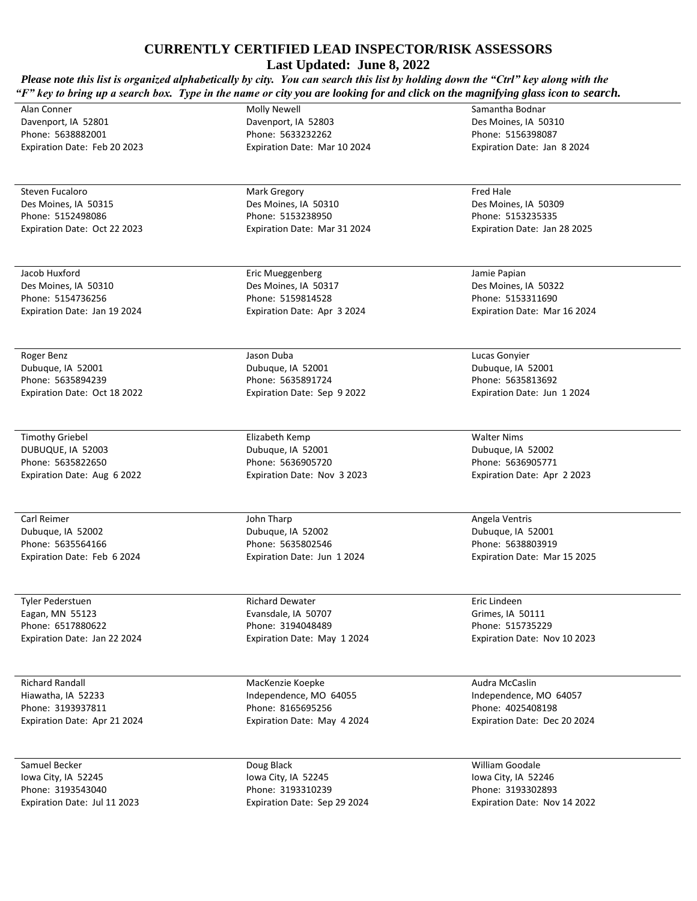**Last Updated: June 8, 2022**

*Please note this list is organized alphabetically by city. You can search this list by holding down the "Ctrl" key along with the "F" key to bring up a search box. Type in the name or city you are looking for and click on the magnifying glass icon to search.* 

Alan Conner Davenport, IA 52801 Phone: 5638882001 Expiration Date: Feb 20 2023

Steven Fucaloro Des Moines, IA 50315 Phone: 5152498086 Expiration Date: Oct 22 2023

Jacob Huxford Des Moines, IA 50310 Phone: 5154736256 Expiration Date: Jan 19 2024

Roger Benz Dubuque, IA 52001 Phone: 5635894239 Expiration Date: Oct 18 2022

Timothy Griebel DUBUQUE, IA 52003 Phone: 5635822650 Expiration Date: Aug 6 2022

Carl Reimer Dubuque, IA 52002 Phone: 5635564166 Expiration Date: Feb 6 2024

Tyler Pederstuen Eagan, MN 55123 Phone: 6517880622 Expiration Date: Jan 22 2024

Richard Randall Hiawatha, IA 52233 Phone: 3193937811 Expiration Date: Apr 21 2024

Samuel Becker Iowa City, IA 52245 Phone: 3193543040 Expiration Date: Jul 11 2023 Molly Newell Davenport, IA 52803 Phone: 5633232262 Expiration Date: Mar 10 2024

Mark Gregory Des Moines, IA 50310 Phone: 5153238950 Expiration Date: Mar 31 2024

Eric Mueggenberg Des Moines, IA 50317 Phone: 5159814528 Expiration Date: Apr 3 2024

Jason Duba Dubuque, IA 52001 Phone: 5635891724 Expiration Date: Sep 9 2022

Elizabeth Kemp Dubuque, IA 52001 Phone: 5636905720 Expiration Date: Nov 3 2023

John Tharp Dubuque, IA 52002 Phone: 5635802546 Expiration Date: Jun 1 2024

Richard Dewater Evansdale, IA 50707 Phone: 3194048489 Expiration Date: May 1 2024

MacKenzie Koepke Independence, MO 64055 Phone: 8165695256 Expiration Date: May 4 2024

Doug Black Iowa City, IA 52245 Phone: 3193310239 Expiration Date: Sep 29 2024 Samantha Bodnar Des Moines, IA 50310 Phone: 5156398087 Expiration Date: Jan 8 2024

Fred Hale Des Moines, IA 50309 Phone: 5153235335 Expiration Date: Jan 28 2025

Jamie Papian Des Moines, IA 50322 Phone: 5153311690 Expiration Date: Mar 16 2024

Lucas Gonyier Dubuque, IA 52001 Phone: 5635813692 Expiration Date: Jun 1 2024

Walter Nims Dubuque, IA 52002 Phone: 5636905771 Expiration Date: Apr 2 2023

Angela Ventris Dubuque, IA 52001 Phone: 5638803919 Expiration Date: Mar 15 2025

Eric Lindeen Grimes, IA 50111 Phone: 515735229 Expiration Date: Nov 10 2023

Audra McCaslin Independence, MO 64057 Phone: 4025408198 Expiration Date: Dec 20 2024

William Goodale Iowa City, IA 52246 Phone: 3193302893 Expiration Date: Nov 14 2022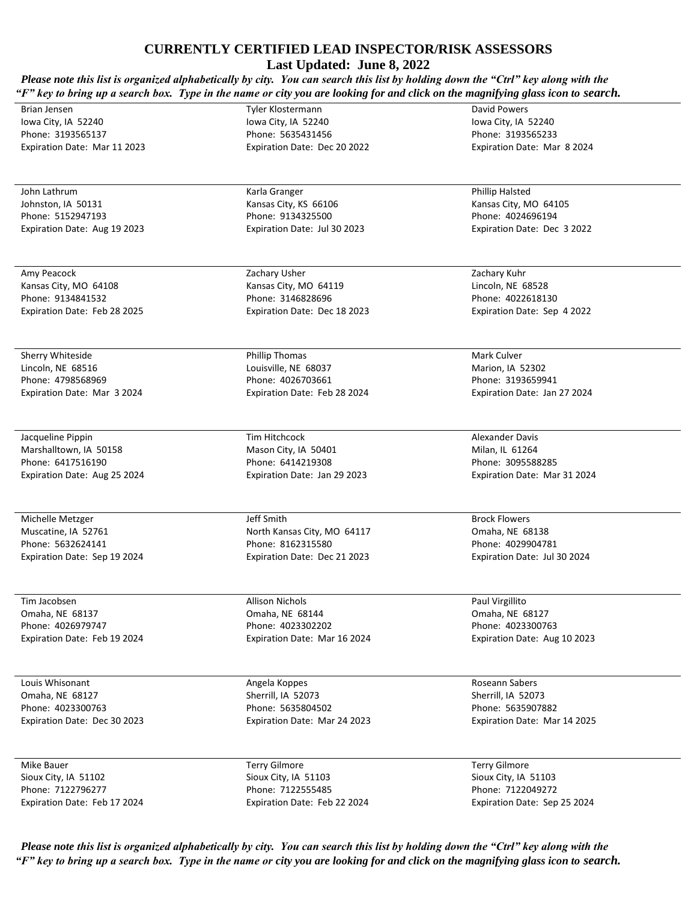**Last Updated: June 8, 2022**

*Please note this list is organized alphabetically by city. You can search this list by holding down the "Ctrl" key along with the "F" key to bring up a search box. Type in the name or city you are looking for and click on the magnifying glass icon to search.* 

> Tyler Klostermann Iowa City, IA 52240 Phone: 5635431456 Expiration Date: Dec 20 2022

Karla Granger Kansas City, KS 66106 Phone: 9134325500 Expiration Date: Jul 30 2023

Zachary Usher Kansas City, MO 64119 Phone: 3146828696 Expiration Date: Dec 18 2023

Phillip Thomas Louisville, NE 68037 Phone: 4026703661 Expiration Date: Feb 28 2024

Tim Hitchcock Mason City, IA 50401 Phone: 6414219308 Expiration Date: Jan 29 2023

Jeff Smith

Allison Nichols Omaha, NE 68144 Phone: 4023302202

Angela Koppes Sherrill, IA 52073 Phone: 5635804502

North Kansas City, MO 64117 Phone: 8162315580 Expiration Date: Dec 21 2023

Expiration Date: Mar 16 2024

Brian Jensen Iowa City, IA 52240 Phone: 3193565137 Expiration Date: Mar 11 2023

John Lathrum Johnston, IA 50131 Phone: 5152947193 Expiration Date: Aug 19 2023

Amy Peacock Kansas City, MO 64108 Phone: 9134841532 Expiration Date: Feb 28 2025

Sherry Whiteside Lincoln, NE 68516 Phone: 4798568969 Expiration Date: Mar 3 2024

Jacqueline Pippin Marshalltown, IA 50158 Phone: 6417516190 Expiration Date: Aug 25 2024

Michelle Metzger Muscatine, IA 52761 Phone: 5632624141 Expiration Date: Sep 19 2024

Tim Jacobsen Omaha, NE 68137 Phone: 4026979747 Expiration Date: Feb 19 2024

Louis Whisonant Omaha, NE 68127 Phone: 4023300763 Expiration Date: Dec 30 2023

Mike Bauer Sioux City, IA 51102 Phone: 7122796277 Expiration Date: Feb 17 2024 Terry Gilmore Sioux City, IA 51103 Phone: 7122555485

Expiration Date: Feb 22 2024

Expiration Date: Mar 24 2023

David Powers Iowa City, IA 52240 Phone: 3193565233 Expiration Date: Mar 8 2024

Phillip Halsted Kansas City, MO 64105 Phone: 4024696194 Expiration Date: Dec 3 2022

Zachary Kuhr Lincoln, NE 68528 Phone: 4022618130 Expiration Date: Sep 4 2022

Mark Culver Marion, IA 52302 Phone: 3193659941 Expiration Date: Jan 27 2024

Alexander Davis Milan, IL 61264 Phone: 3095588285 Expiration Date: Mar 31 2024

Brock Flowers Omaha, NE 68138 Phone: 4029904781 Expiration Date: Jul 30 2024

Paul Virgillito Omaha, NE 68127 Phone: 4023300763 Expiration Date: Aug 10 2023

Roseann Sabers Sherrill, IA 52073 Phone: 5635907882 Expiration Date: Mar 14 2025

Terry Gilmore Sioux City, IA 51103 Phone: 7122049272 Expiration Date: Sep 25 2024

*Please note this list is organized alphabetically by city. You can search this list by holding down the "Ctrl" key along with the "F" key to bring up a search box. Type in the name or city you are looking for and click on the magnifying glass icon to search.*